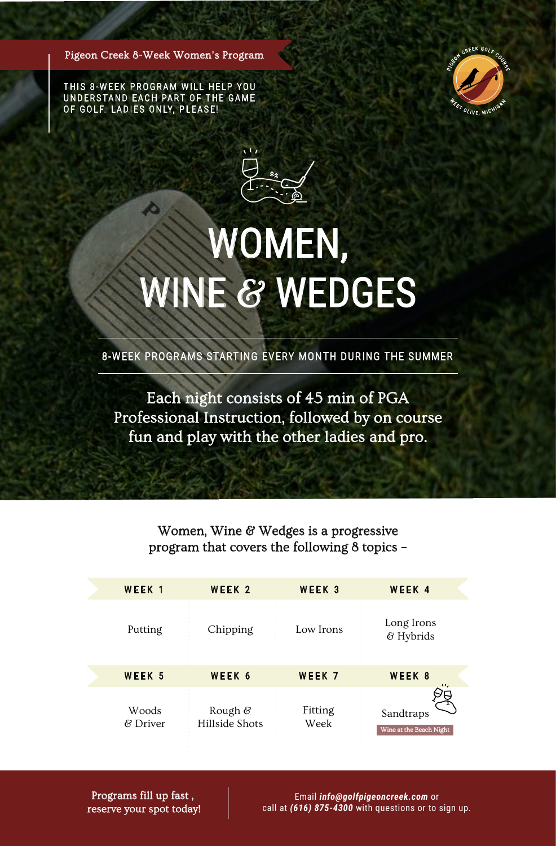Pigeon Creek 8-Week Women's Program

THIS 8-WEEK PROGRAM WILL HELP YOU UNDERSTAND EACH PART OF THE GAME OF GOLF. LADIES ONLY, PLEASE!

Æ



## WOMEN, WINE & WEDGES

8-WEEK PROGRAMS STARTING EVERY MONTH DURING THE SUMMER

Each night consists of 45 min of PGA Professional Instruction, followed by on course fun and play with the other ladies and pro.

> Women, Wine & Wedges is a progressive program that covers the following 8 topics –

| WEEK <sub>1</sub>    | WEEK <sub>2</sub>                    | WEEK <sub>3</sub> | WEEK 4                               |
|----------------------|--------------------------------------|-------------------|--------------------------------------|
| Putting              | Chipping                             | Low Irons         | Long Irons<br>& Hybrids              |
| WEEK <sub>5</sub>    | WEEK 6                               | WEEK 7            | WEEK 8<br>                           |
| Woods<br>$\&$ Driver | Rough $\mathscr G$<br>Hillside Shots | Fitting<br>Week   | Sandtraps<br>Wine at the Beach Night |

Programs fill up fast , reserve your spot today!

Email *info@golfpigeoncreek.com* or call at *(616) 875-4300* with questions or to sign up.